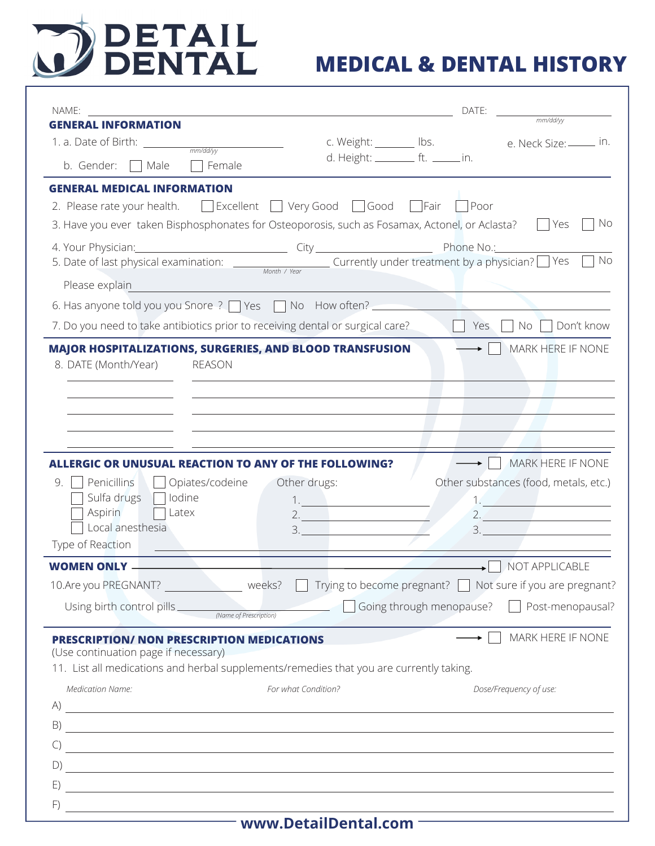

| NAME:                                                                                                                                                                                                                                                                                                                                    |                                                     | DATE: | $\frac{1}{\frac{1}{2\pi}}$ mm/dd/yy                             |
|------------------------------------------------------------------------------------------------------------------------------------------------------------------------------------------------------------------------------------------------------------------------------------------------------------------------------------------|-----------------------------------------------------|-------|-----------------------------------------------------------------|
| <b>GENERAL INFORMATION</b>                                                                                                                                                                                                                                                                                                               |                                                     |       |                                                                 |
| 1. a. Date of Birth: $\frac{1}{\frac{mm/ddyy}{mm/ddyy}}$                                                                                                                                                                                                                                                                                 |                                                     |       | c. Weight: _______ lbs. e. Neck Size: _____ in.                 |
| b. Gender:<br>Female<br>Male                                                                                                                                                                                                                                                                                                             | d. Height: _________ ft. ______ in.                 |       |                                                                 |
| <b>GENERAL MEDICAL INFORMATION</b>                                                                                                                                                                                                                                                                                                       |                                                     |       |                                                                 |
| 2. Please rate your health. $\Box$ Excellent $\Box$ Very Good $\Box$ Good $\Box$ Fair $\Box$ Poor                                                                                                                                                                                                                                        |                                                     |       |                                                                 |
| 3. Have you ever taken Bisphosphonates for Osteoporosis, such as Fosamax, Actonel, or Aclasta?                                                                                                                                                                                                                                           |                                                     |       | . No<br>l Yes                                                   |
| 4. Your Physician: <u>Alexander City City City Alexander City Phone No.:</u>                                                                                                                                                                                                                                                             |                                                     |       |                                                                 |
| 5. Date of last physical examination: $\frac{1}{\text{Month} \cdot \text{Year}}$ Currently under treatment by a physician? Yes                                                                                                                                                                                                           |                                                     |       | No                                                              |
| Please explain                                                                                                                                                                                                                                                                                                                           |                                                     |       |                                                                 |
| 6. Has anyone told you you Snore ?   Yes   No How often?                                                                                                                                                                                                                                                                                 |                                                     |       |                                                                 |
| 7. Do you need to take antibiotics prior to receiving dental or surgical care?                                                                                                                                                                                                                                                           |                                                     | Yes   | No   Don't know                                                 |
| <b>MAJOR HOSPITALIZATIONS, SURGERIES, AND BLOOD TRANSFUSION</b>                                                                                                                                                                                                                                                                          |                                                     |       | MARK HERE IF NONE                                               |
| 8. DATE (Month/Year) REASON                                                                                                                                                                                                                                                                                                              |                                                     |       |                                                                 |
|                                                                                                                                                                                                                                                                                                                                          |                                                     |       |                                                                 |
|                                                                                                                                                                                                                                                                                                                                          |                                                     |       |                                                                 |
|                                                                                                                                                                                                                                                                                                                                          |                                                     |       |                                                                 |
|                                                                                                                                                                                                                                                                                                                                          |                                                     |       |                                                                 |
| <b>ALLERGIC OR UNUSUAL REACTION TO ANY OF THE FOLLOWING?</b>                                                                                                                                                                                                                                                                             |                                                     |       | MARK HERE IF NONE                                               |
| Penicillins<br>9<br>Opiates/codeine                                                                                                                                                                                                                                                                                                      | Other drugs:                                        |       | Other substances (food, metals, etc.)                           |
| Sulfa drugs  <br>lodine                                                                                                                                                                                                                                                                                                                  |                                                     |       |                                                                 |
| Aspirin<br>Latex                                                                                                                                                                                                                                                                                                                         | $\begin{array}{c}\n1. \\ 2. \\ \hline\n\end{array}$ |       | $2.2$                                                           |
| Local anesthesia<br>Type of Reaction                                                                                                                                                                                                                                                                                                     | 3.                                                  | 3.    |                                                                 |
|                                                                                                                                                                                                                                                                                                                                          |                                                     |       |                                                                 |
| <b>WOMEN ONLY -</b>                                                                                                                                                                                                                                                                                                                      |                                                     |       | $\overline{\phantom{a}}$ NOT APPLICABLE                         |
| 10.Are you PREGNANT? weeks? Thying to become pregnant? Not sure if you are pregnant?                                                                                                                                                                                                                                                     |                                                     |       |                                                                 |
|                                                                                                                                                                                                                                                                                                                                          |                                                     |       | Going through menopause?<br><u> Dependence</u> Post-menopausal? |
| <b>PRESCRIPTION/ NON PRESCRIPTION MEDICATIONS</b>                                                                                                                                                                                                                                                                                        |                                                     |       | MARK HERE IF NONE                                               |
| (Use continuation page if necessary)                                                                                                                                                                                                                                                                                                     |                                                     |       |                                                                 |
| 11. List all medications and herbal supplements/remedies that you are currently taking.                                                                                                                                                                                                                                                  |                                                     |       |                                                                 |
| <b>Medication Name:</b>                                                                                                                                                                                                                                                                                                                  | For what Condition?                                 |       | Dose/Frequency of use:                                          |
| $\mathsf{A}$ ) $\overline{\phantom{a}}$                                                                                                                                                                                                                                                                                                  |                                                     |       |                                                                 |
|                                                                                                                                                                                                                                                                                                                                          |                                                     |       |                                                                 |
| $\mathcal{C}$<br>$\mathcal{L}(\mathcal{L}(\mathcal{L}))$ and $\mathcal{L}(\mathcal{L}(\mathcal{L}))$ . The contract of $\mathcal{L}(\mathcal{L}(\mathcal{L}))$ is a set of $\mathcal{L}(\mathcal{L})$                                                                                                                                    |                                                     |       |                                                                 |
| D)<br><u> 1980 - Andrea Santa Andrea Andrea Andrea Andrea Andrea Andrea Andrea Andrea Andrea Andrea Andrea Andrea Andr</u>                                                                                                                                                                                                               |                                                     |       |                                                                 |
| E)<br><u> 1989 - Andrea Stadt Britain, amerikansk politik (* 1989)</u>                                                                                                                                                                                                                                                                   |                                                     |       |                                                                 |
| F)<br>$\overline{a}$ and $\overline{a}$ are $\overline{a}$ and $\overline{a}$ and $\overline{a}$ are $\overline{a}$ and $\overline{a}$ and $\overline{a}$ and $\overline{a}$ and $\overline{a}$ and $\overline{a}$ and $\overline{a}$ and $\overline{a}$ and $\overline{a}$ and $\overline{a}$ and $\overline{a}$ and $\overline{a}$ and |                                                     |       |                                                                 |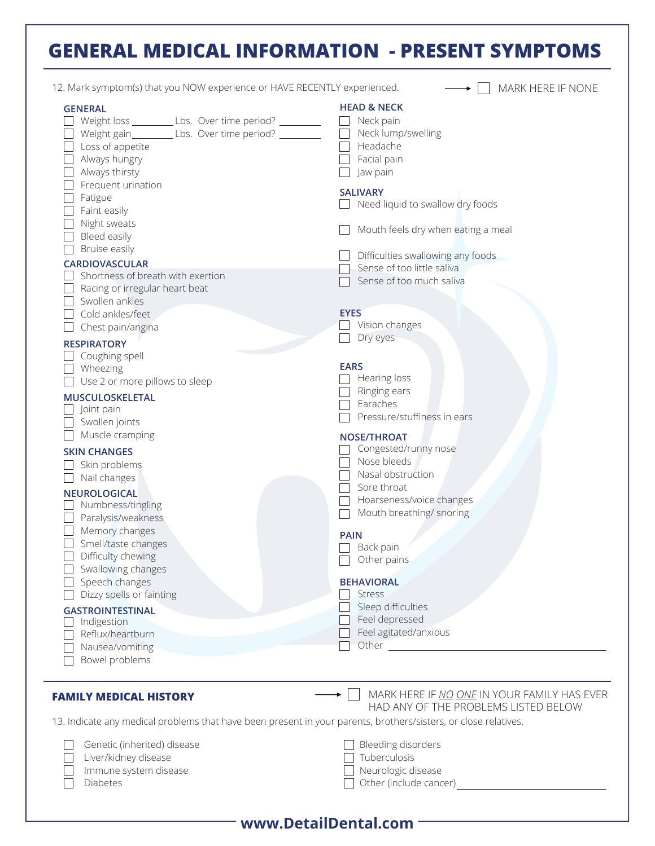## **GENERAL MEDICAL INFORMATION - PRESENT SYMPTOMS**

| 12. Mark symptom(s) that you NOW experience or HAVE RECENTLY experienced.                                                                                                                                                                                          | MARK HERE IF NONE                                                                                                                                                     |
|--------------------------------------------------------------------------------------------------------------------------------------------------------------------------------------------------------------------------------------------------------------------|-----------------------------------------------------------------------------------------------------------------------------------------------------------------------|
| <b>GENERAL</b><br>Weight loss ______________ Lbs. Over time period? ___________<br>Weight gain___________Lbs. Over time period? __________<br>Loss of appetite<br>Always hungry<br>Always thirsty<br>Frequent urination<br>Fatigue<br>Faint easily<br>Night sweats | <b>HEAD &amp; NECK</b><br>Neck pain<br>Neck lump/swelling<br>Headache<br>Facial pain<br>Jaw pain<br><b>SALIVARY</b><br>Need liquid to swallow dry foods               |
| Bleed easily<br>Bruise easily<br><b>CARDIOVASCULAR</b><br>Shortness of breath with exertion<br>Racing or irregular heart beat                                                                                                                                      | Mouth feels dry when eating a meal<br>Difficulties swallowing any foods<br>Sense of too little saliva<br>Sense of too much saliva                                     |
| Swollen ankles<br>Cold ankles/feet<br>Chest pain/angina<br><b>RESPIRATORY</b>                                                                                                                                                                                      | <b>EYES</b><br>Vision changes<br>Dry eyes                                                                                                                             |
| Coughing spell<br>Wheezing<br>Use 2 or more pillows to sleep<br>MUSCULOSKELETAL<br>Joint pain<br>Swollen joints                                                                                                                                                    | <b>EARS</b><br>Hearing loss<br>Ringing ears<br>Earaches<br>Pressure/stuffiness in ears                                                                                |
| Muscle cramping<br><b>SKIN CHANGES</b><br>Skin problems<br>Nail changes<br><b>NEUROLOGICAL</b><br>Numbness/tingling<br>Paralysis/weakness                                                                                                                          | <b>NOSE/THROAT</b><br>Congested/runny nose<br>Nose bleeds<br>Nasal obstruction<br>Sore throat<br>Hoarseness/voice changes<br>$\mathbf{I}$<br>Mouth breathing/ snoring |
| Memory changes<br>Smell/taste changes<br>Difficulty chewing<br>Swallowing changes                                                                                                                                                                                  | <b>PAIN</b><br>Back pain<br>Other pains                                                                                                                               |
| Speech changes<br>Dizzy spells or fainting<br><b>GASTROINTESTINAL</b><br>Indigestion<br>Reflux/heartburn<br>Nausea/vomiting<br>Bowel problems                                                                                                                      | <b>BEHAVIORAL</b><br><b>Stress</b><br>Sleep difficulties<br>Feel depressed<br>Feel agitated/anxious                                                                   |
| <b>FAMILY MEDICAL HISTORY</b>                                                                                                                                                                                                                                      | MARK HERE IF NO ONE IN YOUR FAMILY HAS EVER                                                                                                                           |
| 13. Indicate any medical problems that have been present in your parents, brothers/sisters, or close relatives.                                                                                                                                                    | HAD ANY OF THE PROBLEMS LISTED BELOW                                                                                                                                  |
| Genetic (inherited) disease<br>Liver/kidney disease<br>Immune system disease<br>Diabetes                                                                                                                                                                           | Bleeding disorders<br>Tuberculosis<br>Neurologic disease<br>Other (include cancer)                                                                                    |

| www.DetailDental.com |  |  |
|----------------------|--|--|
|----------------------|--|--|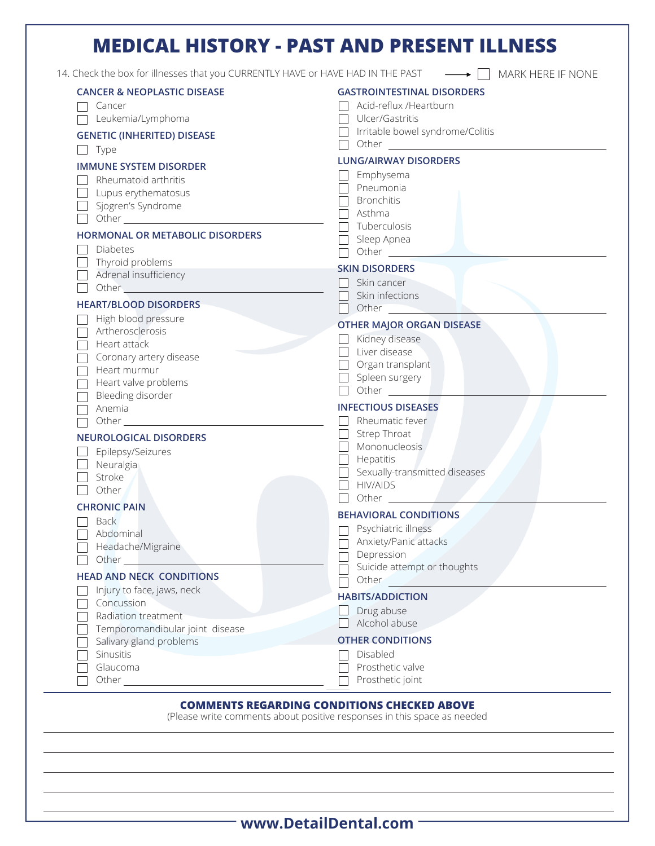## **MEDICAL HISTORY - PAST AND PRESENT ILLNESS**

14. Check the box for illnesses that you CURRENTLY HAVE or HAVE HAD IN THE PAST  $\longrightarrow \Box$  MARK HERE IF NONE

| Acid-reflux /Heartburn<br>Ulcer/Gastritis<br>Irritable bowel syndrome/Colitis<br><b>LUNG/AIRWAY DISORDERS</b><br>$\Box$ Emphysema<br>Pneumonia<br>Bronchitis<br>Asthma<br>Tuberculosis<br>Sleep Apnea<br>Other ________<br><b>SKIN DISORDERS</b><br>Skin cancer<br>Skin infections<br>Other <b>Communication</b><br><b>OTHER MAJOR ORGAN DISEASE</b> |
|------------------------------------------------------------------------------------------------------------------------------------------------------------------------------------------------------------------------------------------------------------------------------------------------------------------------------------------------------|
|                                                                                                                                                                                                                                                                                                                                                      |
|                                                                                                                                                                                                                                                                                                                                                      |
|                                                                                                                                                                                                                                                                                                                                                      |
|                                                                                                                                                                                                                                                                                                                                                      |
|                                                                                                                                                                                                                                                                                                                                                      |
|                                                                                                                                                                                                                                                                                                                                                      |
|                                                                                                                                                                                                                                                                                                                                                      |
|                                                                                                                                                                                                                                                                                                                                                      |
|                                                                                                                                                                                                                                                                                                                                                      |
|                                                                                                                                                                                                                                                                                                                                                      |
|                                                                                                                                                                                                                                                                                                                                                      |
|                                                                                                                                                                                                                                                                                                                                                      |
|                                                                                                                                                                                                                                                                                                                                                      |
|                                                                                                                                                                                                                                                                                                                                                      |
|                                                                                                                                                                                                                                                                                                                                                      |
|                                                                                                                                                                                                                                                                                                                                                      |
| Kidney disease                                                                                                                                                                                                                                                                                                                                       |
| $\Box$ Liver disease                                                                                                                                                                                                                                                                                                                                 |
| $\Box$ Organ transplant                                                                                                                                                                                                                                                                                                                              |
| $\Box$ Spleen surgery                                                                                                                                                                                                                                                                                                                                |
| $\Box$ Other $\_\_$                                                                                                                                                                                                                                                                                                                                  |
| <b>INFECTIOUS DISEASES</b>                                                                                                                                                                                                                                                                                                                           |
| Rheumatic fever                                                                                                                                                                                                                                                                                                                                      |
| Strep Throat                                                                                                                                                                                                                                                                                                                                         |
| Mononucleosis                                                                                                                                                                                                                                                                                                                                        |
| Hepatitis                                                                                                                                                                                                                                                                                                                                            |
| Sexually-transmitted diseases                                                                                                                                                                                                                                                                                                                        |
| <b>HIV/AIDS</b>                                                                                                                                                                                                                                                                                                                                      |
| Other                                                                                                                                                                                                                                                                                                                                                |
| <b>BEHAVIORAL CONDITIONS</b>                                                                                                                                                                                                                                                                                                                         |
| Psychiatric illness                                                                                                                                                                                                                                                                                                                                  |
| Anxiety/Panic attacks                                                                                                                                                                                                                                                                                                                                |
| Depression                                                                                                                                                                                                                                                                                                                                           |
| Suicide attempt or thoughts                                                                                                                                                                                                                                                                                                                          |
| Other                                                                                                                                                                                                                                                                                                                                                |
| <b>HABITS/ADDICTION</b>                                                                                                                                                                                                                                                                                                                              |
|                                                                                                                                                                                                                                                                                                                                                      |
| Drug abuse                                                                                                                                                                                                                                                                                                                                           |
| Alcohol abuse                                                                                                                                                                                                                                                                                                                                        |
| <b>OTHER CONDITIONS</b>                                                                                                                                                                                                                                                                                                                              |
| Disabled                                                                                                                                                                                                                                                                                                                                             |
| Prosthetic valve<br>Prosthetic joint                                                                                                                                                                                                                                                                                                                 |
|                                                                                                                                                                                                                                                                                                                                                      |